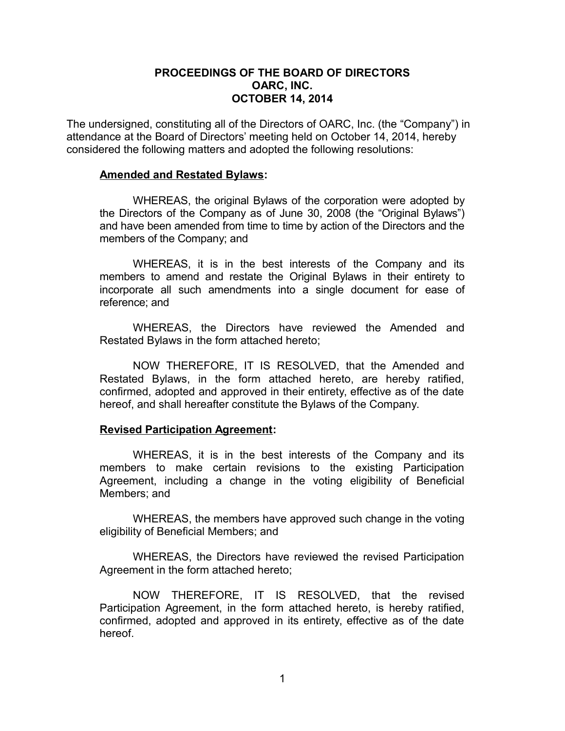# **PROCEEDINGS OF THE BOARD OF DIRECTORS OARC, INC. OCTOBER 14, 2014**

The undersigned, constituting all of the Directors of OARC, Inc. (the "Company") in attendance at the Board of Directors' meeting held on October 14, 2014, hereby considered the following matters and adopted the following resolutions:

#### **Amended and Restated Bylaws:**

WHEREAS, the original Bylaws of the corporation were adopted by the Directors of the Company as of June 30, 2008 (the "Original Bylaws") and have been amended from time to time by action of the Directors and the members of the Company; and

WHEREAS, it is in the best interests of the Company and its members to amend and restate the Original Bylaws in their entirety to incorporate all such amendments into a single document for ease of reference; and

WHEREAS, the Directors have reviewed the Amended and Restated Bylaws in the form attached hereto;

NOW THEREFORE, IT IS RESOLVED, that the Amended and Restated Bylaws, in the form attached hereto, are hereby ratified, confirmed, adopted and approved in their entirety, effective as of the date hereof, and shall hereafter constitute the Bylaws of the Company.

## **Revised Participation Agreement:**

WHEREAS, it is in the best interests of the Company and its members to make certain revisions to the existing Participation Agreement, including a change in the voting eligibility of Beneficial Members; and

WHEREAS, the members have approved such change in the voting eligibility of Beneficial Members; and

WHEREAS, the Directors have reviewed the revised Participation Agreement in the form attached hereto;

NOW THEREFORE, IT IS RESOLVED, that the revised Participation Agreement, in the form attached hereto, is hereby ratified, confirmed, adopted and approved in its entirety, effective as of the date hereof.